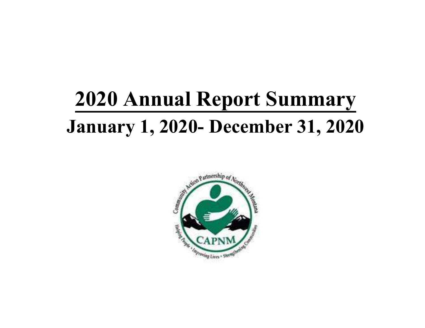# 2020 Annual Report Summary January 1, 2020 - December 31, 2020

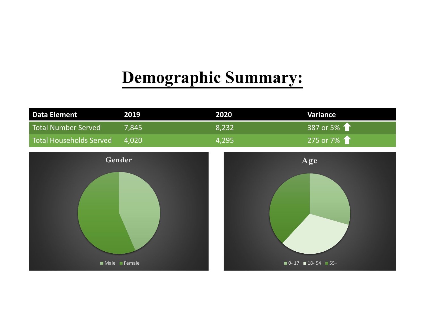## Demographic Summary:

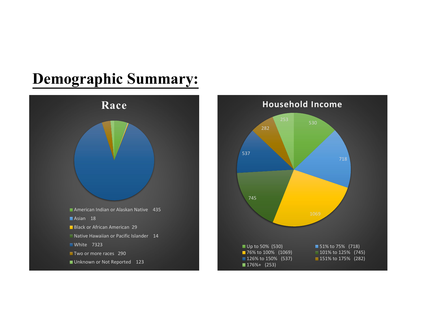## Demographic Summary:



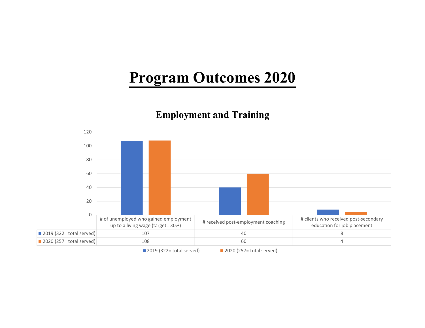## Program Outcomes 2020

#### Employment and Training



2019 (322= total served) 2020 (257= total served)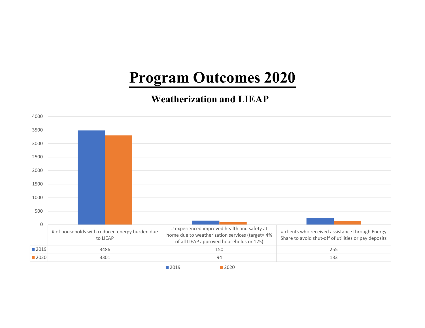## Program Outcomes 2020

#### Weatherization and LIEAP

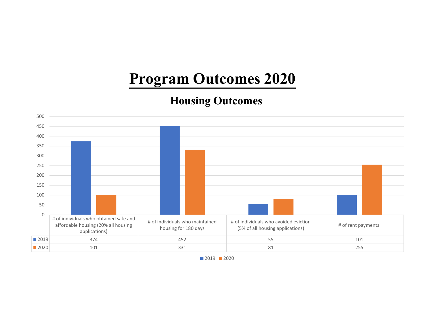## Program Outcomes 2020

#### Housing Outcomes



■ 2019 ■ 2020